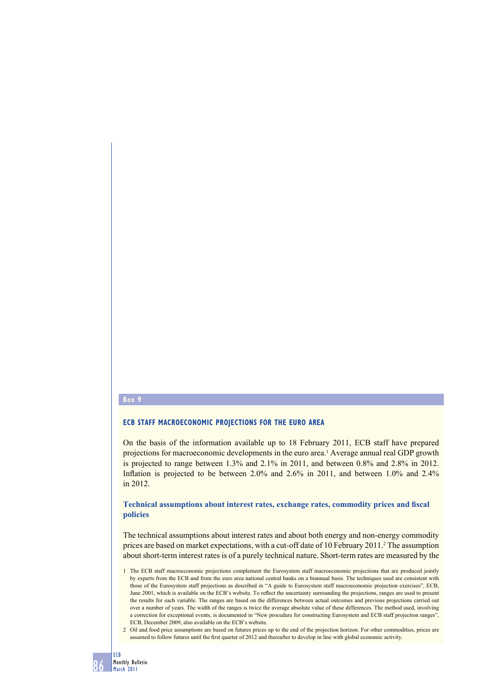# **Box 9**

#### **ECB STAFF MACROECONOMIC PROJECTIONS FOR THE EURO AREA**

On the basis of the information available up to 18 February 2011, ECB staff have prepared projections for macroeconomic developments in the euro area.<sup>1</sup> Average annual real GDP growth is projected to range between 1.3% and 2.1% in 2011, and between 0.8% and 2.8% in 2012. Inflation is projected to be between  $2.0\%$  and  $2.6\%$  in 2011, and between  $1.0\%$  and  $2.4\%$ in 2012.

### Technical assumptions about interest rates, exchange rates, commodity prices and fiscal **policies**

The technical assumptions about interest rates and about both energy and non-energy commodity prices are based on market expectations, with a cut-off date of 10 February 2011.<sup>2</sup> The assumption about short-term interest rates is of a purely technical nature. Short-term rates are measured by the

<sup>1</sup> The ECB staff macroeconomic projections complement the Eurosystem staff macroeconomic projections that are produced jointly by experts from the ECB and from the euro area national central banks on a biannual basis. The techniques used are consistent with those of the Eurosystem staff projections as described in "A guide to Eurosystem staff macroeconomic projection exercises", ECB, June 2001, which is available on the ECB's website. To reflect the uncertainty surrounding the projections, ranges are used to present the results for each variable. The ranges are based on the differences between actual outcomes and previous projections carried out over a number of years. The width of the ranges is twice the average absolute value of these differences. The method used, involving a correction for exceptional events, is documented in "New procedure for constructing Eurosystem and ECB staff projection ranges", ECB, December 2009, also available on the ECB's website.

<sup>2</sup> Oil and food price assumptions are based on futures prices up to the end of the projection horizon. For other commodities, prices are assumed to follow futures until the first quarter of 2012 and thereafter to develop in line with global economic activity.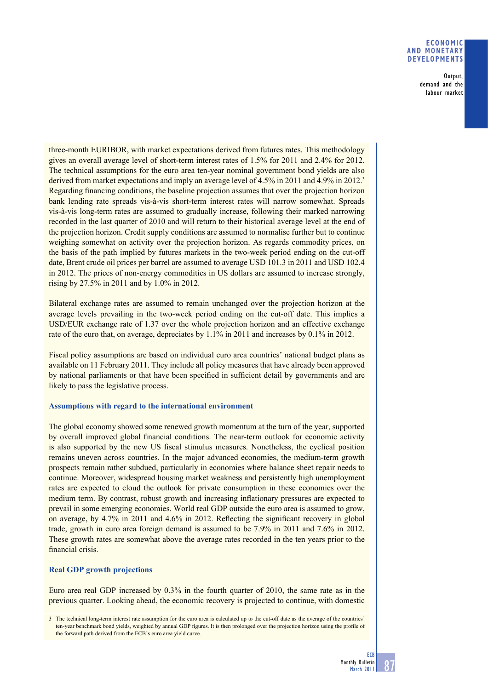### **ECONOMIC AND MONETARY DEVELOPMENTS**

Output, demand and the labour market

three-month EURIBOR, with market expectations derived from futures rates. This methodology gives an overall average level of short-term interest rates of 1.5% for 2011 and 2.4% for 2012. The technical assumptions for the euro area ten-year nominal government bond yields are also derived from market expectations and imply an average level of 4.5% in 2011 and 4.9% in 2012.<sup>3</sup> Regarding financing conditions, the baseline projection assumes that over the projection horizon bank lending rate spreads vis-à-vis short-term interest rates will narrow somewhat. Spreads vis-à-vis long-term rates are assumed to gradually increase, following their marked narrowing recorded in the last quarter of 2010 and will return to their historical average level at the end of the projection horizon. Credit supply conditions are assumed to normalise further but to continue weighing somewhat on activity over the projection horizon. As regards commodity prices, on the basis of the path implied by futures markets in the two-week period ending on the cut-off date, Brent crude oil prices per barrel are assumed to average USD 101.3 in 2011 and USD 102.4 in 2012. The prices of non-energy commodities in US dollars are assumed to increase strongly, rising by 27.5% in 2011 and by 1.0% in 2012.

Bilateral exchange rates are assumed to remain unchanged over the projection horizon at the average levels prevailing in the two-week period ending on the cut-off date. This implies a USD/EUR exchange rate of 1.37 over the whole projection horizon and an effective exchange rate of the euro that, on average, depreciates by 1.1% in 2011 and increases by 0.1% in 2012.

Fiscal policy assumptions are based on individual euro area countries' national budget plans as available on 11 February 2011. They include all policy measures that have already been approved by national parliaments or that have been specified in sufficient detail by governments and are likely to pass the legislative process.

# **Assumptions with regard to the international environment**

The global economy showed some renewed growth momentum at the turn of the year, supported by overall improved global financial conditions. The near-term outlook for economic activity is also supported by the new US fiscal stimulus measures. Nonetheless, the cyclical position remains uneven across countries. In the major advanced economies, the medium-term growth prospects remain rather subdued, particularly in economies where balance sheet repair needs to continue. Moreover, widespread housing market weakness and persistently high unemployment rates are expected to cloud the outlook for private consumption in these economies over the medium term. By contrast, robust growth and increasing inflationary pressures are expected to prevail in some emerging economies. World real GDP outside the euro area is assumed to grow, on average, by  $4.7\%$  in 2011 and  $4.6\%$  in 2012. Reflecting the significant recovery in global trade, growth in euro area foreign demand is assumed to be 7.9% in 2011 and 7.6% in 2012. These growth rates are somewhat above the average rates recorded in the ten years prior to the financial crisis.

# **Real GDP growth projections**

Euro area real GDP increased by 0.3% in the fourth quarter of 2010, the same rate as in the previous quarter. Looking ahead, the economic recovery is projected to continue, with domestic

3 The technical long-term interest rate assumption for the euro area is calculated up to the cut-off date as the average of the countries' ten-year benchmark bond yields, weighted by annual GDP figures. It is then prolonged over the projection horizon using the profile of the forward path derived from the ECB's euro area yield curve.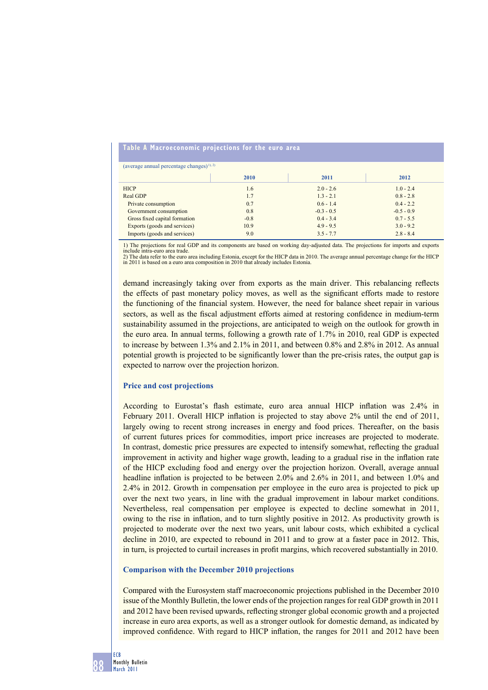### **Table A Macroeconomic projections for the euro area**

(average annual percentage changes) $^{1)$ , 2)

| (average annual percentage changes) " |        |              |              |  |  |  |  |  |
|---------------------------------------|--------|--------------|--------------|--|--|--|--|--|
|                                       | 2010   | 2011         | 2012         |  |  |  |  |  |
| <b>HICP</b>                           | 1.6    | $2.0 - 2.6$  | $1.0 - 2.4$  |  |  |  |  |  |
| Real GDP                              | 1.7    | $1.3 - 2.1$  | $0.8 - 2.8$  |  |  |  |  |  |
| Private consumption                   | 0.7    | $0.6 - 1.4$  | $0.4 - 2.2$  |  |  |  |  |  |
| Government consumption                | 0.8    | $-0.3 - 0.5$ | $-0.5 - 0.9$ |  |  |  |  |  |
| Gross fixed capital formation         | $-0.8$ | $0.4 - 3.4$  | $0.7 - 5.5$  |  |  |  |  |  |
| Exports (goods and services)          | 10.9   | $4.9 - 9.5$  | $3.0 - 9.2$  |  |  |  |  |  |
| Imports (goods and services)          | 9.0    | $3.5 - 7.7$  | $2.8 - 8.4$  |  |  |  |  |  |

1) The projections for real GDP and its components are based on working day-adjusted data. The projections for imports and exports include intra-euro area trade.

2) The data refer to the euro area including Estonia, except for the HICP data in 2010. The average annual percentage change for the HICP in 2011 is based on a euro area composition in 2010 that already includes Estonia.

demand increasingly taking over from exports as the main driver. This rebalancing reflects the effects of past monetary policy moves, as well as the significant efforts made to restore the functioning of the financial system. However, the need for balance sheet repair in various sectors, as well as the fiscal adjustment efforts aimed at restoring confidence in medium-term sustainability assumed in the projections, are anticipated to weigh on the outlook for growth in the euro area. In annual terms, following a growth rate of 1.7% in 2010, real GDP is expected to increase by between 1.3% and 2.1% in 2011, and between 0.8% and 2.8% in 2012. As annual potential growth is projected to be significantly lower than the pre-crisis rates, the output gap is expected to narrow over the projection horizon.

#### **Price and cost projections**

According to Eurostat's flash estimate, euro area annual HICP inflation was 2.4% in February 2011. Overall HICP inflation is projected to stay above 2% until the end of 2011, largely owing to recent strong increases in energy and food prices. Thereafter, on the basis of current futures prices for commodities, import price increases are projected to moderate. In contrast, domestic price pressures are expected to intensify somewhat, reflecting the gradual improvement in activity and higher wage growth, leading to a gradual rise in the inflation rate of the HICP excluding food and energy over the projection horizon. Overall, average annual headline inflation is projected to be between 2.0% and 2.6% in 2011, and between 1.0% and 2.4% in 2012. Growth in compensation per employee in the euro area is projected to pick up over the next two years, in line with the gradual improvement in labour market conditions. Nevertheless, real compensation per employee is expected to decline somewhat in 2011, owing to the rise in inflation, and to turn slightly positive in 2012. As productivity growth is projected to moderate over the next two years, unit labour costs, which exhibited a cyclical decline in 2010, are expected to rebound in 2011 and to grow at a faster pace in 2012. This, in turn, is projected to curtail increases in profit margins, which recovered substantially in 2010.

#### **Comparison with the December 2010 projections**

Compared with the Eurosystem staff macroeconomic projections published in the December 2010 issue of the Monthly Bulletin, the lower ends of the projection ranges for real GDP growth in 2011 and 2012 have been revised upwards, reflecting stronger global economic growth and a projected increase in euro area exports, as well as a stronger outlook for domestic demand, as indicated by improved confidence. With regard to HICP inflation, the ranges for 2011 and 2012 have been